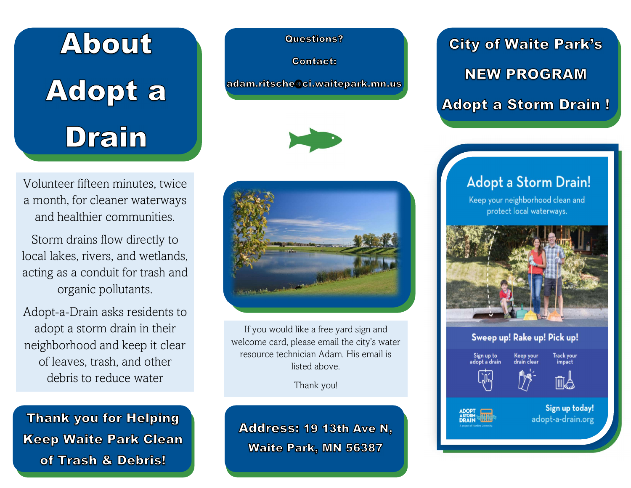# About **Adopt a Drain**

Volunteer fifteen minutes, twice a month, for cleaner waterways and healthier communities.

Storm drains flow directly to local lakes, rivers, and wetlands, acting as a conduit for trash and organic pollutants.

Adopt-a-Drain asks residents to adopt a storm drain in their neighborhood and keep it clear of leaves, trash, and other debris to reduce water

**Thank you for Helping Keep Waite Park Clean** of Trash & Debris!

**Questions?** 

**Contact:** 

adam.ritsche@ci.waitepark.mn.us





If you would like a free yard sign and welcome card, please email the city's water resource technician Adam. His email is listed above.

Thank you!

Address: 19 13th Ave N. **Waite Park, MN 56387** 

**City of Waite Park's NEW PROGRAM Adopt a Storm Drain!** 

#### **Adopt a Storm Drain!**

Keep your neighborhood clean and protect local waterways.



#### Sweep up! Rake up! Pick up!



ADOPT<br>ASTORM<br>DRAIN





Sign up today! adopt-a-drain.org

Track your